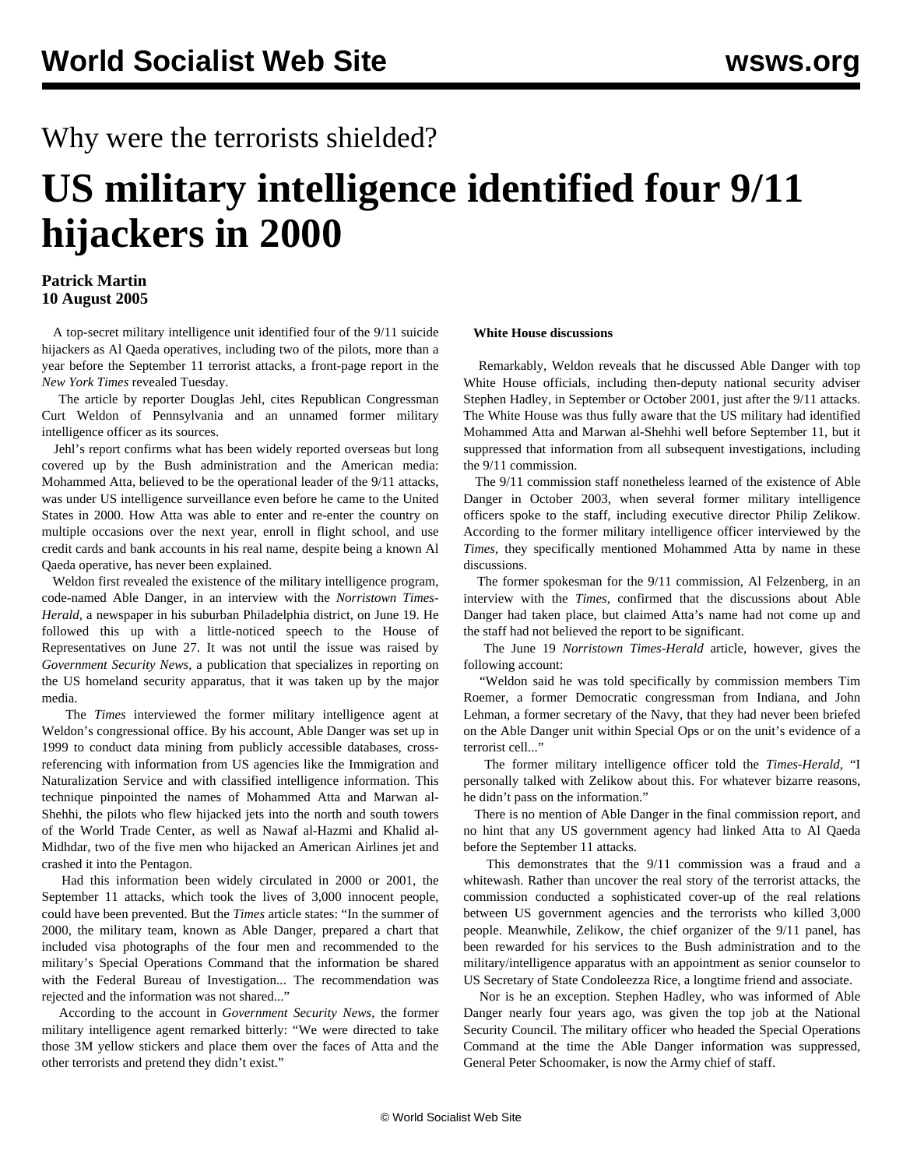## Why were the terrorists shielded?

## **US military intelligence identified four 9/11 hijackers in 2000**

## **Patrick Martin 10 August 2005**

 A top-secret military intelligence unit identified four of the 9/11 suicide hijackers as Al Qaeda operatives, including two of the pilots, more than a year before the September 11 terrorist attacks, a front-page report in the *New York Times* revealed Tuesday.

 The article by reporter Douglas Jehl, cites Republican Congressman Curt Weldon of Pennsylvania and an unnamed former military intelligence officer as its sources.

 Jehl's report confirms what has been widely reported overseas but long covered up by the Bush administration and the American media: Mohammed Atta, believed to be the operational leader of the 9/11 attacks, was under US intelligence surveillance even before he came to the United States in 2000. How Atta was able to enter and re-enter the country on multiple occasions over the next year, enroll in flight school, and use credit cards and bank accounts in his real name, despite being a known Al Qaeda operative, has never been explained.

 Weldon first revealed the existence of the military intelligence program, code-named Able Danger, in an interview with the *Norristown Times-Herald*, a newspaper in his suburban Philadelphia district, on June 19. He followed this up with a little-noticed speech to the House of Representatives on June 27. It was not until the issue was raised by *Government Security News*, a publication that specializes in reporting on the US homeland security apparatus, that it was taken up by the major media.

 The *Times* interviewed the former military intelligence agent at Weldon's congressional office. By his account, Able Danger was set up in 1999 to conduct data mining from publicly accessible databases, crossreferencing with information from US agencies like the Immigration and Naturalization Service and with classified intelligence information. This technique pinpointed the names of Mohammed Atta and Marwan al-Shehhi, the pilots who flew hijacked jets into the north and south towers of the World Trade Center, as well as Nawaf al-Hazmi and Khalid al-Midhdar, two of the five men who hijacked an American Airlines jet and crashed it into the Pentagon.

 Had this information been widely circulated in 2000 or 2001, the September 11 attacks, which took the lives of 3,000 innocent people, could have been prevented. But the *Times* article states: "In the summer of 2000, the military team, known as Able Danger, prepared a chart that included visa photographs of the four men and recommended to the military's Special Operations Command that the information be shared with the Federal Bureau of Investigation... The recommendation was rejected and the information was not shared..."

 According to the account in *Government Security News*, the former military intelligence agent remarked bitterly: "We were directed to take those 3M yellow stickers and place them over the faces of Atta and the other terrorists and pretend they didn't exist."

## **White House discussions**

 Remarkably, Weldon reveals that he discussed Able Danger with top White House officials, including then-deputy national security adviser Stephen Hadley, in September or October 2001, just after the 9/11 attacks. The White House was thus fully aware that the US military had identified Mohammed Atta and Marwan al-Shehhi well before September 11, but it suppressed that information from all subsequent investigations, including the 9/11 commission.

 The 9/11 commission staff nonetheless learned of the existence of Able Danger in October 2003, when several former military intelligence officers spoke to the staff, including executive director Philip Zelikow. According to the former military intelligence officer interviewed by the *Times*, they specifically mentioned Mohammed Atta by name in these discussions.

 The former spokesman for the 9/11 commission, Al Felzenberg, in an interview with the *Times*, confirmed that the discussions about Able Danger had taken place, but claimed Atta's name had not come up and the staff had not believed the report to be significant.

 The June 19 *Norristown Times-Herald* article, however, gives the following account:

 "Weldon said he was told specifically by commission members Tim Roemer, a former Democratic congressman from Indiana, and John Lehman, a former secretary of the Navy, that they had never been briefed on the Able Danger unit within Special Ops or on the unit's evidence of a terrorist cell..."

 The former military intelligence officer told the *Times-Herald*, "I personally talked with Zelikow about this. For whatever bizarre reasons, he didn't pass on the information."

 There is no mention of Able Danger in the final commission report, and no hint that any US government agency had linked Atta to Al Qaeda before the September 11 attacks.

 This demonstrates that the 9/11 commission was a fraud and a whitewash. Rather than uncover the real story of the terrorist attacks, the commission conducted a sophisticated cover-up of the real relations between US government agencies and the terrorists who killed 3,000 people. Meanwhile, Zelikow, the chief organizer of the 9/11 panel, has been rewarded for his services to the Bush administration and to the military/intelligence apparatus with an appointment as senior counselor to US Secretary of State Condoleezza Rice, a longtime friend and associate.

 Nor is he an exception. Stephen Hadley, who was informed of Able Danger nearly four years ago, was given the top job at the National Security Council. The military officer who headed the Special Operations Command at the time the Able Danger information was suppressed, General Peter Schoomaker, is now the Army chief of staff.